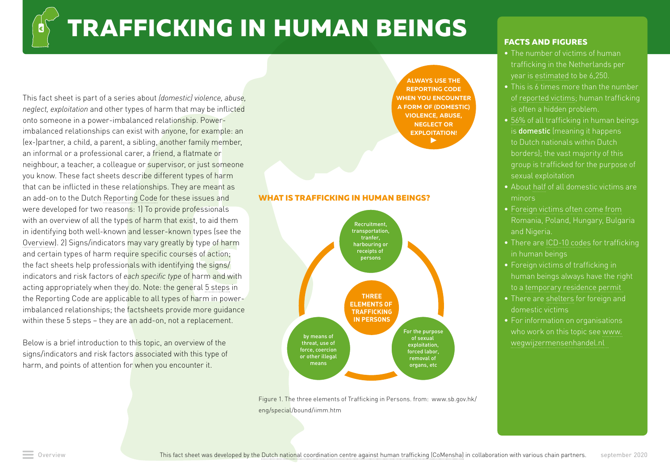# **TRAFFICKING IN HUMAN BEINGS**

This fact sheet is part of a series about *(domestic) violence, abuse, neglect, exploitation* and other types of harm that may be inflicted onto someone in a power-imbalanced relationship. Powerimbalanced relationships can exist with anyone, for example: an (ex-)partner, a child, a parent, a sibling, another family member, an informal or a professional carer, a friend, a flatmate or neighbour, a teacher, a colleague or supervisor, or just someone you know. These fact sheets describe different types of harm that can be inflicted in these relationships. They are meant as an add-on to the Dutch [Reporting Code](https://www.rijksoverheid.nl/onderwerpen/huiselijk-geweld/meldcode) for these issues and were developed for two reasons: 1) To provide professionals with an overview of all the types of harm that exist, to aid them in identifying both well-known and lesser-known types (see the [Overview](https://www.huiselijkgeweld.nl/vormen)). 2) Signs/indicators may vary greatly by type of harm and certain types of harm require specific courses of action; the fact sheets help professionals with identifying the signs/ indicators and risk factors of *each specific type* of harm and with acting appropriately when they do. Note: the general [5 steps](https://www.rijksoverheid.nl/onderwerpen/huiselijk-geweld/meldcode) in the Reporting Code are applicable to all types of harm in powerimbalanced relationships; the factsheets provide more quidance within these 5 steps – they are an add-on, not a replacement.

Below is a brief introduction to this topic, an overview of the signs/indicators and risk factors associated with this type of harm, and points of attention for when you encounter it.

**[ALWAYS USE THE](http://Always use the Reporting Code when you encounter a form of (domestic) violence, abuse, neglect or exploitation!)  [REPORTING CODE](http://Always use the Reporting Code when you encounter a form of (domestic) violence, abuse, neglect or exploitation!)  [WHEN YOU ENCOUNTER](https://www.rijksoverheid.nl/onderwerpen/huiselijk-geweld/meldcode)  [A FORM OF \(DOMESTIC\)](http://Always use the Reporting Code when you encounter a form of (domestic) violence, abuse, neglect or exploitation!)  [VIOLENCE, ABUSE,](http://Always use the Reporting Code when you encounter a form of (domestic) violence, abuse, neglect or exploitation!)  [NEGLECT OR](http://Always use the Reporting Code when you encounter a form of (domestic) violence, abuse, neglect or exploitation!)  [EXPLOITATION!](http://Always use the Reporting Code when you encounter a form of (domestic) violence, abuse, neglect or exploitation!)**  $\blacktriangleright$ 

#### **WHAT IS TRAFFICKING IN HUMAN BEINGS?**



Figure 1. The three elements of Trafficking in Persons. from: www.sb.gov.hk/ eng/special/bound/iimm.htm

#### **FACTS AND FIGURES**

- **•** The number of victims of human trafficking in the Netherlands per year is [estimated](https://www.comensha.nl/pagina/hoeveel-slachtoffers-van-mensenhandel-zijn-er) to be 6,250.
- **•** This is 6 times more than the number of [reported victims;](https://www.comensha.nl/pagina/hoeveel-slachtoffers-van-mensenhandel-zijn-er) human trafficking
- **•** [56%](https://www.nationaalrapporteur.nl/binaries/Slachtoffermonitor%20mensenhandel%202012-2016_Nationaal%20Rapporteur%20(i)_tcm23-285357.pdf) of all trafficking in human beings is domestic (meaning it happens to Dutch nationals within Dutch group is trafficked for the purpose of sexual exploitation
- **•** About [half](https://www.nationaalrapporteur.nl/binaries/Slachtoffermonitor%20mensenhandel%202012-2016_Nationaal%20Rapporteur%20(i)_tcm23-285357.pdf) of all domestic victims are minors
- **•** [Foreign victims often come from](https://www.comensha.nl/download/jaarverslagen) Romania, Poland, Hungary, Bulgaria and Nigeria.
- **•** There are [ICD-10 codes](https://www.acf.hhs.gov/otip/news/icd-10) for trafficking
- **•** Foreign victims of trafficking in to a temporary residence permit
- **•** There are [shelters](https://www.slachtofferwijzer.nl/hulppagina/mensenhandel/een-veilige-opvangplek-vanwege-mensenhandel/) for foreign and domestic victims
- **•** For information on organisations who work on this topic see www. wegwijzermensenhandel.nl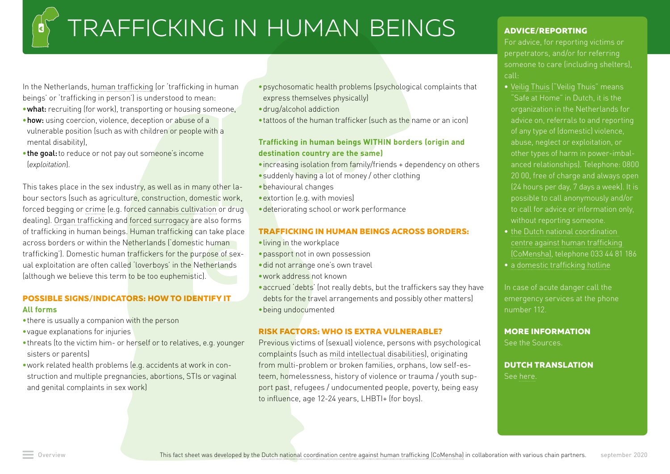# TRAFFICKING IN HUMAN BEINGS

In the Netherlands, [human trafficking](https://www.comensha.nl/pagina/wat-is-mensenhandel) (or 'trafficking in human beings' or 'trafficking in person') is understood to mean:

- •what: recruiting (for work), transporting or housing someone,
- •how: using coercion, violence, deception or abuse of a vulnerable position (such as with children or people with a mental disability),
- the goal: to reduce or not pay out someone's income (*exploitation*).

This takes place in the sex industry, as well as in many other labour sectors (such as agriculture, construction, domestic work, forced begging or [crime](https://hetccv.nl/fileadmin/Bestanden/Onderwerpen/Multiprobleem_gezin/factsheet_Aanpak_Criminele_kinderuitbuiting.pdf) (e.g. forced [cannabis cultivation](https://www.beke.nl/doc/2012/download_Oosterse_teelt.pdf) or drug dealing). [Organ trafficking](https://www.politie.nl/binaries/content/assets/politie/algemeen/publicaties-archief/orgaanhandel-en-mensenhandel-in-nederland-en-europa.pdf) and [forced surrogacy](https://www.nationaalrapporteur.nl/binaries/mensenhandel-met-het-oogmerk-van-orgaanverwijdering-en-gedwongen-commercieel-draagmoederschap-(2012)_tcm23-34769.pdf) are also forms of trafficking in human beings. Human trafficking can take place across borders or within the Netherlands ('domestic human trafficking'). Domestic human traffickers for the purpose of sexual exploitation are often called 'loverboys' in the Netherlands (although we believe this term to be too euphemistic).

### **POSSIBLE SIGNS/INDICATORS: HOW TO IDENTIFY IT All forms**

- there is usually a companion with the person
- •vague explanations for injuries
- •threats (to the victim him- or herself or to relatives, e.g. younger sisters or parents)
- •work related health problems (e.g. accidents at work in construction and multiple pregnancies, abortions, STIs or vaginal and genital complaints in sex work)
- •psychosomatic health problems (psychological complaints that express themselves physically)
- •drug/alcohol addiction
- •tattoos of the human trafficker (such as the name or an icon)

### **Trafficking in human beings WITHIN borders (origin and destination country are the same)**

- •increasing isolation from family/friends + dependency on others
- •suddenly having a lot of money / other clothing
- •behavioural changes
- •extortion (e.g. with movies)
- •deteriorating school or work performance

#### **TRAFFICKING IN HUMAN BEINGS ACROSS BORDERS:**

- •living in the workplace
- •passport not in own possession
- •did not arrange one's own travel
- •work address not known
- •accrued 'debts' (not really debts, but the traffickers say they have debts for the travel arrangements and possibly other matters) •being undocumented

#### **RISK FACTORS: WHO IS EXTRA VULNERABLE?**

Previous victims of (sexual) violence, persons with psychological complaints (such as [mild intellectual disabilities](https://www.kenniscentrumlvb.nl/kennis-ontwikkelen/project-loverboyslachtoffers-lvb-ggz/slachtofferschap-van-mensenhandel-loverboyproblematiek)), originating from multi-problem or broken families, orphans, low self-esteem, homelessness, history of violence or trauma / youth support past, refugees / undocumented people, poverty, being easy to influence, age 12-24 years, LHBTI+ (for boys).

### **ADVICE/REPORTING**

For advice, for reporting victims or perpetrators, and/or for referring call:

- ["Safe at Home" in Dutch, it is the](https://veiligthuis.nl/)  [organization in the Netherlands for](https://veiligthuis.nl/)  [advice on, referrals to and reporting](https://veiligthuis.nl/)  [of any type of \(domestic\) violence,](https://veiligthuis.nl/)  [abuse, neglect or exploitation, or](https://veiligthuis.nl/)  [other types of harm in power-imbal](https://veiligthuis.nl/)[anced relationships\). Telephone: 0800](https://veiligthuis.nl/)  [20 00, free of charge and always open](https://veiligthuis.nl/)  [\(24 hours per day, 7 days a week\). It is](https://veiligthuis.nl/)  [to call for advice or information only,](https://veiligthuis.nl/)  [without reporting someone.](https://veiligthuis.nl/)
- [centre against human trafficking](http://www.comensha.nl/)  [\(CoMensha\),](http://www.comensha.nl/) telephone 033 44 81 186
- 

In case of acute danger call the emergency services at the phone number 112.

## **MORE INFORMATION**

See the Sources.

#### **DUTCH TRANSLATION** See [here](https://www.huiselijkgeweld.nl/vormen/mensenhandel).